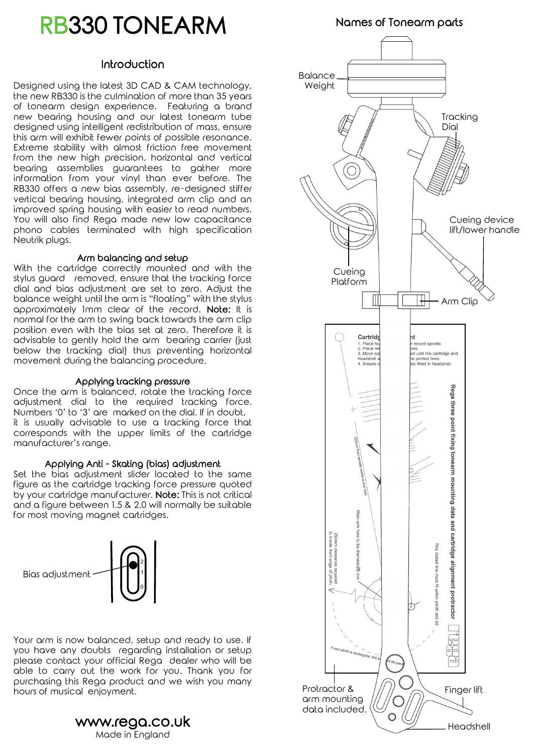# RB330 TONEARM

#### Introduction

Designed using the latest 3D CAD & CAM technology, the new RB330 is the culmination of more than 35 years of tonearm design experience. Featuring a brand new bearing housing and our latest tonearm tube designed using intelligent redistribution of mass, ensure this arm will exhibit fewer points of possible resonance. Extreme stability with almost friction free movement from the new high precision, horizontal and vertical bearing assemblies guarantees to gather more information from your vinyl than ever before. The RB330 offers a new bias assembly, re-designed stiffer vertical bearing housing, integrated arm clip and an improved spring housing with easier to read numbers. You will also find Rega made new low capacitance phono cables terminated with high specification Neutrik plugs.

#### Arm balancing and setup

With the cartridge correctly mounted and with the stylus guard removed, ensure that the tracking force dial and bias adjustment are set to zero. Adjust the balance weight until the arm is "floating" with the stylus approximately 1mm clear of the record. Note: It is normal for the arm to swing back towards the arm clip position even with the bias set at zero. Therefore it is advisable to gently hold the arm bearing carrier (just below the tracking dial) thus preventing horizontal movement during the balancing procedure.

#### Applying tracking pressure

Once the arm is balanced, rotate the tracking force adjustment dial to the required tracking force. Numbers '0' to '3' are marked on the dial. If in doubt, it is usually advisable to use a tracking force that corresponds with the upper limits of the cartridge manufacturer's range.

#### Applying Anti - Skating (bias) adjustment

Set the bias adjustment slider located to the same figure as the cartridge tracking force pressure quoted by your cartridge manufacturer. Note: This is not critical and a figure between 1.5 & 2.0 will normally be suitable for most moving magnet cartridges.



Your arm is now balanced, setup and ready to use. If you have any doubts regarding installation or setup please contact your official Rega dealer who will be able to carry out the work for you. Thank you for purchasing this Rega product and we wish you many hours of musical enjoyment.

> www.rega.co.uk Made in England

Names of Tonearm parts